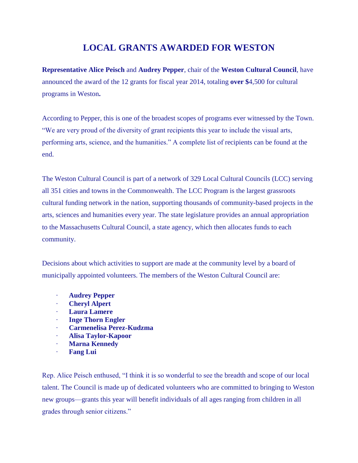# **LOCAL GRANTS AWARDED FOR WESTON**

**Representative Alice Peisch** and **Audrey Pepper**, chair of the **Weston Cultural Council**, have announced the award of the 12 grants for fiscal year 2014, totaling **over \$**4,500 for cultural programs in Weston**.**

According to Pepper, this is one of the broadest scopes of programs ever witnessed by the Town. "We are very proud of the diversity of grant recipients this year to include the visual arts, performing arts, science, and the humanities." A complete list of recipients can be found at the end.

The Weston Cultural Council is part of a network of 329 Local Cultural Councils (LCC) serving all 351 cities and towns in the Commonwealth. The LCC Program is the largest grassroots cultural funding network in the nation, supporting thousands of community-based projects in the arts, sciences and humanities every year. The state legislature provides an annual appropriation to the Massachusetts Cultural Council, a state agency, which then allocates funds to each community.

Decisions about which activities to support are made at the community level by a board of municipally appointed volunteers. The members of the Weston Cultural Council are:

- · **Audrey Pepper**
- · **Cheryl Alpert**
- · **Laura Lamere**
- · **Inge Thorn Engler**
- · **Carmenelisa Perez-Kudzma**
- · **Alisa Taylor-Kapoor**
- **Marna Kennedy**
- · **Fang Lui**

Rep. Alice Peisch enthused, "I think it is so wonderful to see the breadth and scope of our local talent. The Council is made up of dedicated volunteers who are committed to bringing to Weston new groups—grants this year will benefit individuals of all ages ranging from children in all grades through senior citizens."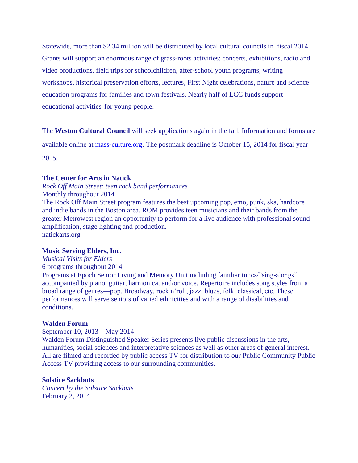Statewide, more than \$2.34 million will be distributed by local cultural councils in fiscal 2014. Grants will support an enormous range of grass-roots activities: concerts, exhibitions, radio and video productions, field trips for schoolchildren, after-school youth programs, writing workshops, historical preservation efforts, lectures, First Night celebrations, nature and science education programs for families and town festivals. Nearly half of LCC funds support educational activities for young people.

The **Weston Cultural Council** will seek applications again in the fall. Information and forms are

available online at [mass-culture.org](http://mass-culture.org/). The postmark deadline is October 15, 2014 for fiscal year

2015.

#### **The Center for Arts in Natick**

*Rock Off Main Street: teen rock band performances* Monthly throughout 2014 The Rock Off Main Street program features the best upcoming pop, emo, punk, ska, hardcore and indie bands in the Boston area. ROM provides teen musicians and their bands from the greater Metrowest region an opportunity to perform for a live audience with professional sound amplification, stage lighting and production. natickarts.org

### **Music Serving Elders, Inc.**

*Musical Visits for Elders* 6 programs throughout 2014 Programs at Epoch Senior Living and Memory Unit including familiar tunes/"sing-alongs" accompanied by piano, guitar, harmonica, and/or voice. Repertoire includes song styles from a broad range of genres—pop, Broadway, rock n'roll, jazz, blues, folk, classical, etc. These performances will serve seniors of varied ethnicities and with a range of disabilities and conditions.

### **Walden Forum**

September 10, 2013 – May 2014

Walden Forum Distinguished Speaker Series presents live public discussions in the arts, humanities, social sciences and interpretative sciences as well as other areas of general interest. All are filmed and recorded by public access TV for distribution to our Public Community Public Access TV providing access to our surrounding communities.

#### **Solstice Sackbuts**

*Concert by the Solstice Sackbuts* February 2, 2014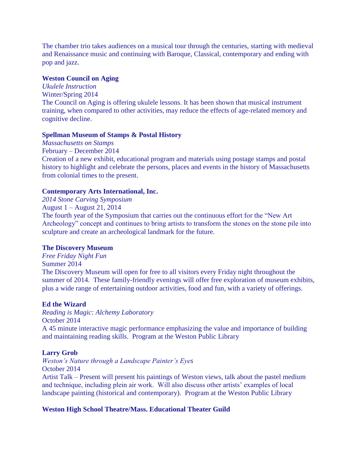The chamber trio takes audiences on a musical tour through the centuries, starting with medieval and Renaissance music and continuing with Baroque, Classical, contemporary and ending with pop and jazz.

### **Weston Council on Aging**

*Ukulele Instruction* Winter/Spring 2014 The Council on Aging is offering ukulele lessons. It has been shown that musical instrument training, when compared to other activities, may reduce the effects of age-related memory and cognitive decline.

### **Spellman Museum of Stamps & Postal History**

*Massachusetts on Stamps* February – December 2014 Creation of a new exhibit, educational program and materials using postage stamps and postal history to highlight and celebrate the persons, places and events in the history of Massachusetts from colonial times to the present.

# **Contemporary Arts International, Inc.**

*2014 Stone Carving Symposium* August 1 – August 21, 2014 The fourth year of the Symposium that carries out the continuous effort for the "New Art Archeology" concept and continues to bring artists to transform the stones on the stone pile into sculpture and create an archeological landmark for the future.

# **The Discovery Museum**

*Free Friday Night Fun* Summer 2014 The Discovery Museum will open for free to all visitors every Friday night throughout the summer of 2014. These family-friendly evenings will offer free exploration of museum exhibits, plus a wide range of entertaining outdoor activities, food and fun, with a variety of offerings.

# **Ed the Wizard**

*Reading is Magic: Alchemy Laboratory* October 2014 A 45 minute interactive magic performance emphasizing the value and importance of building and maintaining reading skills. Program at the Weston Public Library

### **Larry Grob**

*Weston's Nature through a Landscape Painter's Eyes* October 2014 Artist Talk – Present will present his paintings of Weston views, talk about the pastel medium

and technique, including plein air work. Will also discuss other artists' examples of local landscape painting (historical and contemporary). Program at the Weston Public Library

# **Weston High School Theatre/Mass. Educational Theater Guild**